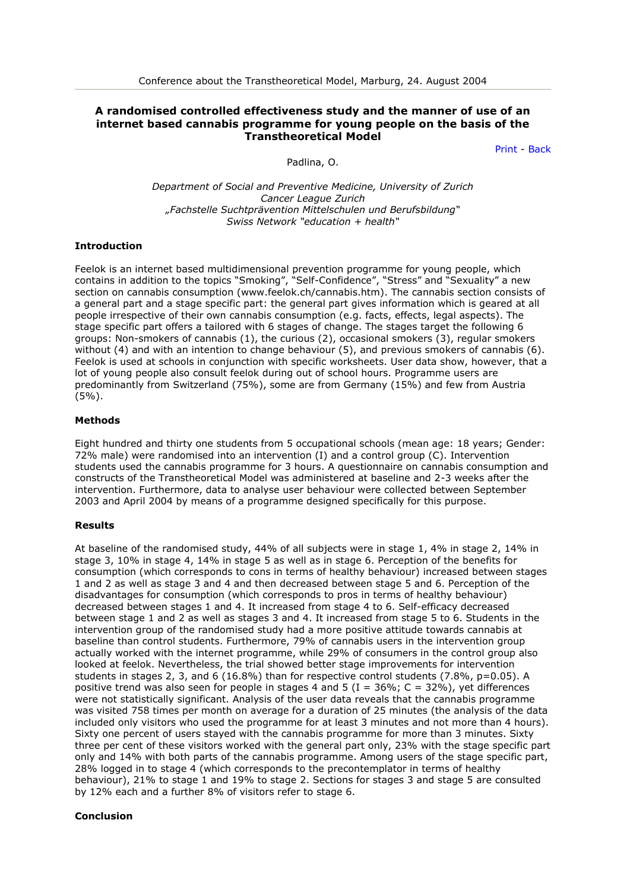# **A randomised controlled effectiveness study and the manner of use of an internet based cannabis programme for young people on the basis of the Transtheoretical Model**

[Print](javascript:self.print();) - [Back](javascript:history.back();)

Padlina, O.

*Department of Social and Preventive Medicine, University of Zurich Cancer League Zurich "Fachstelle Suchtprävention Mittelschulen und Berufsbildung" Swiss Network "education + health"*

### **Introduction**

Feelok is an internet based multidimensional prevention programme for young people, which contains in addition to the topics "Smoking", "Self-Confidence", "Stress" and "Sexuality" a new section on cannabis consumption (www.feelok.ch/cannabis.htm). The cannabis section consists of a general part and a stage specific part: the general part gives information which is geared at all people irrespective of their own cannabis consumption (e.g. facts, effects, legal aspects). The stage specific part offers a tailored with 6 stages of change. The stages target the following 6 groups: Non-smokers of cannabis (1), the curious (2), occasional smokers (3), regular smokers without (4) and with an intention to change behaviour (5), and previous smokers of cannabis (6). Feelok is used at schools in conjunction with specific worksheets. User data show, however, that a lot of young people also consult feelok during out of school hours. Programme users are predominantly from Switzerland (75%), some are from Germany (15%) and few from Austria (5%).

### **Methods**

Eight hundred and thirty one students from 5 occupational schools (mean age: 18 years; Gender: 72% male) were randomised into an intervention (I) and a control group (C). Intervention students used the cannabis programme for 3 hours. A questionnaire on cannabis consumption and constructs of the Transtheoretical Model was administered at baseline and 2-3 weeks after the intervention. Furthermore, data to analyse user behaviour were collected between September 2003 and April 2004 by means of a programme designed specifically for this purpose.

#### **Results**

At baseline of the randomised study, 44% of all subjects were in stage 1, 4% in stage 2, 14% in stage 3, 10% in stage 4, 14% in stage 5 as well as in stage 6. Perception of the benefits for consumption (which corresponds to cons in terms of healthy behaviour) increased between stages 1 and 2 as well as stage 3 and 4 and then decreased between stage 5 and 6. Perception of the disadvantages for consumption (which corresponds to pros in terms of healthy behaviour) decreased between stages 1 and 4. It increased from stage 4 to 6. Self-efficacy decreased between stage 1 and 2 as well as stages 3 and 4. It increased from stage 5 to 6. Students in the intervention group of the randomised study had a more positive attitude towards cannabis at baseline than control students. Furthermore, 79% of cannabis users in the intervention group actually worked with the internet programme, while 29% of consumers in the control group also looked at feelok. Nevertheless, the trial showed better stage improvements for intervention students in stages 2, 3, and 6 (16.8%) than for respective control students (7.8%, p=0.05). A positive trend was also seen for people in stages 4 and 5 (I = 36%; C = 32%), yet differences were not statistically significant. Analysis of the user data reveals that the cannabis programme was visited 758 times per month on average for a duration of 25 minutes (the analysis of the data included only visitors who used the programme for at least 3 minutes and not more than 4 hours). Sixty one percent of users stayed with the cannabis programme for more than 3 minutes. Sixty three per cent of these visitors worked with the general part only, 23% with the stage specific part only and 14% with both parts of the cannabis programme. Among users of the stage specific part, 28% logged in to stage 4 (which corresponds to the precontemplator in terms of healthy behaviour), 21% to stage 1 and 19% to stage 2. Sections for stages 3 and stage 5 are consulted by 12% each and a further 8% of visitors refer to stage 6.

## **Conclusion**